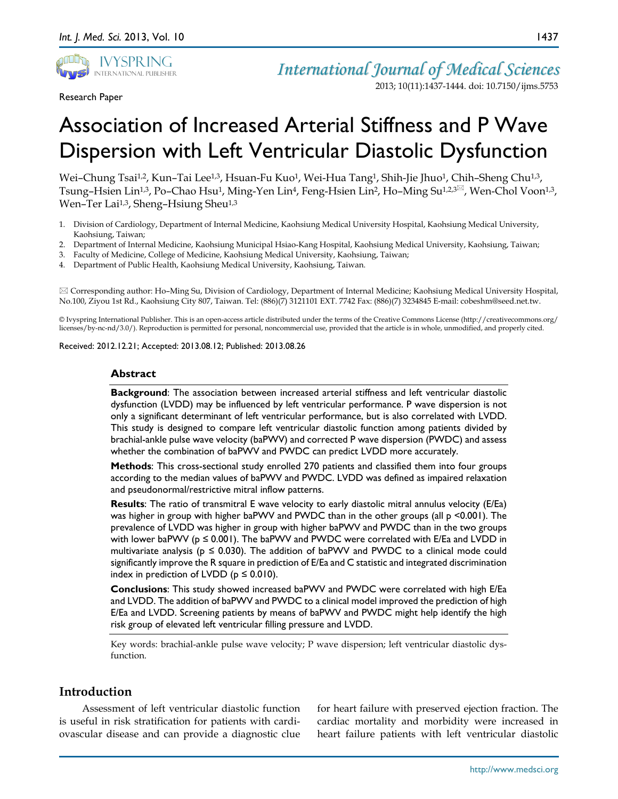

Research Paper

*International Journal of Medical Sciences* 2013; 10(11):1437-1444. doi: 10.7150/ijms.5753

# Association of Increased Arterial Stiffness and P Wave Dispersion with Left Ventricular Diastolic Dysfunction

Wei-Chung Tsai<sup>1,2</sup>, Kun-Tai Lee<sup>1,3</sup>, Hsuan-Fu Kuo<sup>1</sup>, Wei-Hua Tang<sup>1</sup>, Shih-Jie Jhuo<sup>1</sup>, Chih-Sheng Chu<sup>1,3</sup>, Tsung-Hsien Lin<sup>1,3</sup>, Po-Chao Hsu<sup>1</sup>, Ming-Yen Lin<sup>4</sup>, Feng-Hsien Lin<sup>2</sup>, Ho-Ming Su<sup>1,2,3 $\text{\textdegree}$ , Wen-Chol Voon<sup>1,3</sup>,</sup> Wen–Ter Lai<sup>1,3</sup>, Sheng–Hsiung Sheu<sup>1,3</sup>

- 1. Division of Cardiology, Department of Internal Medicine, Kaohsiung Medical University Hospital, Kaohsiung Medical University, Kaohsiung, Taiwan;
- 2. Department of Internal Medicine, Kaohsiung Municipal Hsiao-Kang Hospital, Kaohsiung Medical University, Kaohsiung, Taiwan;
- 3. Faculty of Medicine, College of Medicine, Kaohsiung Medical University, Kaohsiung, Taiwan;
- 4. Department of Public Health, Kaohsiung Medical University, Kaohsiung, Taiwan.

 Corresponding author: Ho–Ming Su, Division of Cardiology, Department of Internal Medicine; Kaohsiung Medical University Hospital, No.100, Ziyou 1st Rd., Kaohsiung City 807, Taiwan. Tel: (886)(7) 3121101 EXT. 7742 Fax: (886)(7) 3234845 E-mail: cobeshm@seed.net.tw.

© Ivyspring International Publisher. This is an open-access article distributed under the terms of the Creative Commons License (http://creativecommons.org/ licenses/by-nc-nd/3.0/). Reproduction is permitted for personal, noncommercial use, provided that the article is in whole, unmodified, and properly cited.

Received: 2012.12.21; Accepted: 2013.08.12; Published: 2013.08.26

## **Abstract**

**Background**: The association between increased arterial stiffness and left ventricular diastolic dysfunction (LVDD) may be influenced by left ventricular performance. P wave dispersion is not only a significant determinant of left ventricular performance, but is also correlated with LVDD. This study is designed to compare left ventricular diastolic function among patients divided by brachial-ankle pulse wave velocity (baPWV) and corrected P wave dispersion (PWDC) and assess whether the combination of baPWV and PWDC can predict LVDD more accurately.

**Methods**: This cross-sectional study enrolled 270 patients and classified them into four groups according to the median values of baPWV and PWDC. LVDD was defined as impaired relaxation and pseudonormal/restrictive mitral inflow patterns.

**Results**: The ratio of transmitral E wave velocity to early diastolic mitral annulus velocity (E/Ea) was higher in group with higher baPWV and PWDC than in the other groups (all p <0.001). The prevalence of LVDD was higher in group with higher baPWV and PWDC than in the two groups with lower baPWV ( $p \le 0.001$ ). The baPWV and PWDC were correlated with E/Ea and LVDD in multivariate analysis ( $p \le 0.030$ ). The addition of baPWV and PWDC to a clinical mode could significantly improve the R square in prediction of E/Ea and C statistic and integrated discrimination index in prediction of LVDD ( $p \le 0.010$ ).

**Conclusions**: This study showed increased baPWV and PWDC were correlated with high E/Ea and LVDD. The addition of baPWV and PWDC to a clinical model improved the prediction of high E/Ea and LVDD. Screening patients by means of baPWV and PWDC might help identify the high risk group of elevated left ventricular filling pressure and LVDD.

Key words: brachial-ankle pulse wave velocity; P wave dispersion; left ventricular diastolic dysfunction.

# **Introduction**

Assessment of left ventricular diastolic function is useful in risk stratification for patients with cardiovascular disease and can provide a diagnostic clue for heart failure with preserved ejection fraction. The cardiac mortality and morbidity were increased in heart failure patients with left ventricular diastolic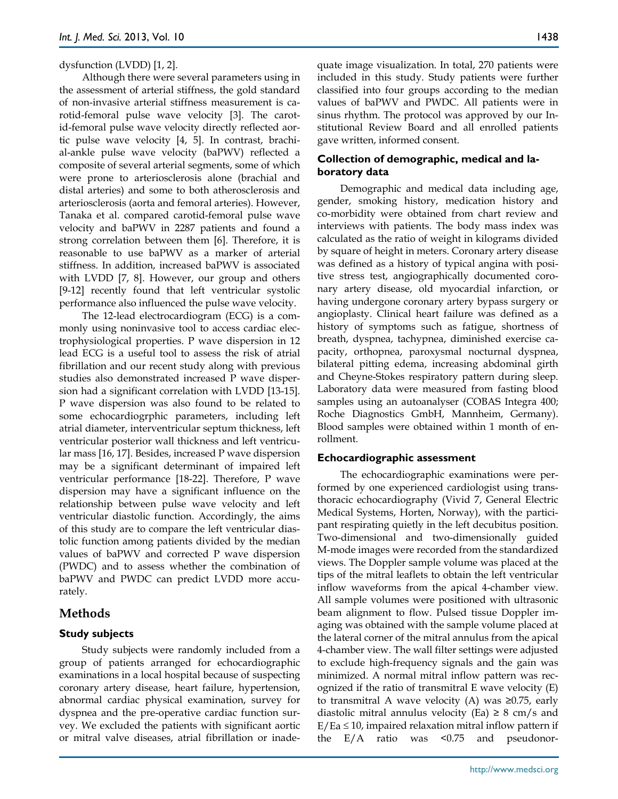#### dysfunction (LVDD) [1, 2].

Although there were several parameters using in the assessment of arterial stiffness, the gold standard of non-invasive arterial stiffness measurement is carotid-femoral pulse wave velocity [3]. The carotid-femoral pulse wave velocity directly reflected aortic pulse wave velocity [4, 5]. In contrast, brachial-ankle pulse wave velocity (baPWV) reflected a composite of several arterial segments, some of which were prone to arteriosclerosis alone (brachial and distal arteries) and some to both atherosclerosis and arteriosclerosis (aorta and femoral arteries). However, Tanaka et al. compared carotid-femoral pulse wave velocity and baPWV in 2287 patients and found a strong correlation between them [6]. Therefore, it is reasonable to use baPWV as a marker of arterial stiffness. In addition, increased baPWV is associated with LVDD [7, 8]. However, our group and others [9-12] recently found that left ventricular systolic performance also influenced the pulse wave velocity.

The 12-lead electrocardiogram (ECG) is a commonly using noninvasive tool to access cardiac electrophysiological properties. P wave dispersion in 12 lead ECG is a useful tool to assess the risk of atrial fibrillation and our recent study along with previous studies also demonstrated increased P wave dispersion had a significant correlation with LVDD [13-15]. P wave dispersion was also found to be related to some echocardiogrphic parameters, including left atrial diameter, interventricular septum thickness, left ventricular posterior wall thickness and left ventricular mass [16, 17]. Besides, increased P wave dispersion may be a significant determinant of impaired left ventricular performance [18-22]. Therefore, P wave dispersion may have a significant influence on the relationship between pulse wave velocity and left ventricular diastolic function. Accordingly, the aims of this study are to compare the left ventricular diastolic function among patients divided by the median values of baPWV and corrected P wave dispersion (PWDC) and to assess whether the combination of baPWV and PWDC can predict LVDD more accurately.

# **Methods**

# **Study subjects**

Study subjects were randomly included from a group of patients arranged for echocardiographic examinations in a local hospital because of suspecting coronary artery disease, heart failure, hypertension, abnormal cardiac physical examination, survey for dyspnea and the pre-operative cardiac function survey. We excluded the patients with significant aortic or mitral valve diseases, atrial fibrillation or inadequate image visualization. In total, 270 patients were included in this study. Study patients were further classified into four groups according to the median values of baPWV and PWDC. All patients were in sinus rhythm. The protocol was approved by our Institutional Review Board and all enrolled patients gave written, informed consent.

# **Collection of demographic, medical and laboratory data**

Demographic and medical data including age, gender, smoking history, medication history and co-morbidity were obtained from chart review and interviews with patients. The body mass index was calculated as the ratio of weight in kilograms divided by square of height in meters. Coronary artery disease was defined as a history of typical angina with positive stress test, angiographically documented coronary artery disease, old myocardial infarction, or having undergone coronary artery bypass surgery or angioplasty. Clinical heart failure was defined as a history of symptoms such as fatigue, shortness of breath, dyspnea, tachypnea, diminished exercise capacity, orthopnea, paroxysmal nocturnal dyspnea, bilateral pitting edema, increasing abdominal girth and Cheyne-Stokes respiratory pattern during sleep. Laboratory data were measured from fasting blood samples using an autoanalyser (COBAS Integra 400; Roche Diagnostics GmbH, Mannheim, Germany). Blood samples were obtained within 1 month of enrollment.

## **Echocardiographic assessment**

The echocardiographic examinations were performed by one experienced cardiologist using transthoracic echocardiography (Vivid 7, General Electric Medical Systems, Horten, Norway), with the participant respirating quietly in the left decubitus position. Two-dimensional and two-dimensionally guided M-mode images were recorded from the standardized views. The Doppler sample volume was placed at the tips of the mitral leaflets to obtain the left ventricular inflow waveforms from the apical 4-chamber view. All sample volumes were positioned with ultrasonic beam alignment to flow. Pulsed tissue Doppler imaging was obtained with the sample volume placed at the lateral corner of the mitral annulus from the apical 4-chamber view. The wall filter settings were adjusted to exclude high-frequency signals and the gain was minimized. A normal mitral inflow pattern was recognized if the ratio of transmitral E wave velocity (E) to transmitral A wave velocity (A) was ≥0.75, early diastolic mitral annulus velocity (Ea)  $\geq$  8 cm/s and  $E/Ea \le 10$ , impaired relaxation mitral inflow pattern if the E/A ratio was <0.75 and pseudonor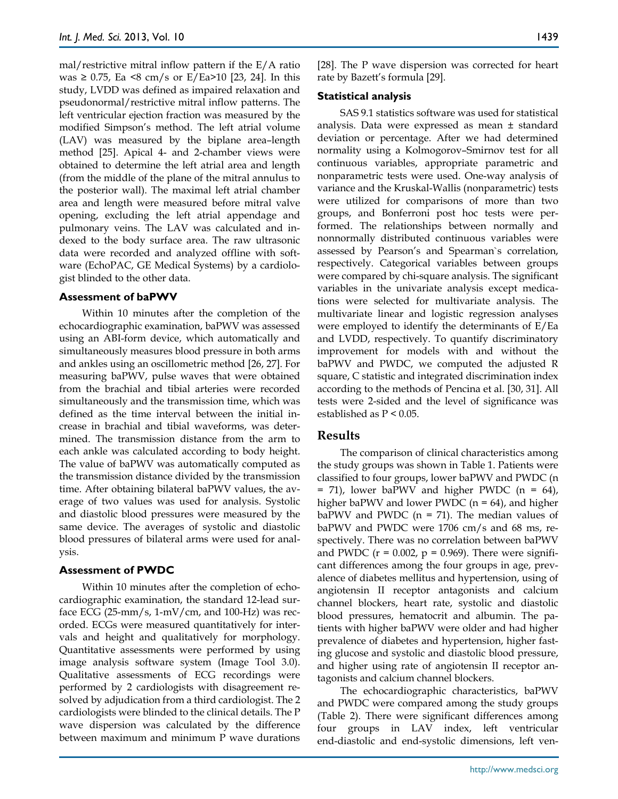mal/restrictive mitral inflow pattern if the E/A ratio was ≥ 0.75, Ea <8 cm/s or E/Ea>10 [23, 24]. In this study, LVDD was defined as impaired relaxation and pseudonormal/restrictive mitral inflow patterns. The left ventricular ejection fraction was measured by the modified Simpson's method. The left atrial volume (LAV) was measured by the biplane area–length method [25]. Apical 4- and 2-chamber views were obtained to determine the left atrial area and length (from the middle of the plane of the mitral annulus to the posterior wall). The maximal left atrial chamber area and length were measured before mitral valve opening, excluding the left atrial appendage and pulmonary veins. The LAV was calculated and indexed to the body surface area. The raw ultrasonic data were recorded and analyzed offline with software (EchoPAC, GE Medical Systems) by a cardiologist blinded to the other data.

#### **Assessment of baPWV**

Within 10 minutes after the completion of the echocardiographic examination, baPWV was assessed using an ABI-form device, which automatically and simultaneously measures blood pressure in both arms and ankles using an oscillometric method [26, 27]. For measuring baPWV, pulse waves that were obtained from the brachial and tibial arteries were recorded simultaneously and the transmission time, which was defined as the time interval between the initial increase in brachial and tibial waveforms, was determined. The transmission distance from the arm to each ankle was calculated according to body height. The value of baPWV was automatically computed as the transmission distance divided by the transmission time. After obtaining bilateral baPWV values, the average of two values was used for analysis. Systolic and diastolic blood pressures were measured by the same device. The averages of systolic and diastolic blood pressures of bilateral arms were used for analysis.

### **Assessment of PWDC**

Within 10 minutes after the completion of echocardiographic examination, the standard 12-lead surface ECG (25-mm/s, 1-mV/cm, and 100-Hz) was recorded. ECGs were measured quantitatively for intervals and height and qualitatively for morphology. Quantitative assessments were performed by using image analysis software system (Image Tool 3.0). Qualitative assessments of ECG recordings were performed by 2 cardiologists with disagreement resolved by adjudication from a third cardiologist. The 2 cardiologists were blinded to the clinical details. The P wave dispersion was calculated by the difference between maximum and minimum P wave durations [28]. The P wave dispersion was corrected for heart rate by Bazett's formula [29].

#### **Statistical analysis**

SAS 9.1 statistics software was used for statistical analysis. Data were expressed as mean ± standard deviation or percentage. After we had determined normality using a Kolmogorov–Smirnov test for all continuous variables, appropriate parametric and nonparametric tests were used. One-way analysis of variance and the Kruskal-Wallis (nonparametric) tests were utilized for comparisons of more than two groups, and Bonferroni post hoc tests were performed. The relationships between normally and nonnormally distributed continuous variables were assessed by Pearson's and Spearman`s correlation, respectively. Categorical variables between groups were compared by chi-square analysis. The significant variables in the univariate analysis except medications were selected for multivariate analysis. The multivariate linear and logistic regression analyses were employed to identify the determinants of E/Ea and LVDD, respectively. To quantify discriminatory improvement for models with and without the baPWV and PWDC, we computed the adjusted R square, C statistic and integrated discrimination index according to the methods of Pencina et al. [30, 31]. All tests were 2-sided and the level of significance was established as P < 0.05.

## **Results**

The comparison of clinical characteristics among the study groups was shown in Table 1. Patients were classified to four groups, lower baPWV and PWDC (n  $=$  71), lower baPWV and higher PWDC (n  $=$  64), higher baPWV and lower PWDC ( $n = 64$ ), and higher baPWV and PWDC ( $n = 71$ ). The median values of baPWV and PWDC were 1706 cm/s and 68 ms, respectively. There was no correlation between baPWV and PWDC ( $r = 0.002$ ,  $p = 0.969$ ). There were significant differences among the four groups in age, prevalence of diabetes mellitus and hypertension, using of angiotensin II receptor antagonists and calcium channel blockers, heart rate, systolic and diastolic blood pressures, hematocrit and albumin. The patients with higher baPWV were older and had higher prevalence of diabetes and hypertension, higher fasting glucose and systolic and diastolic blood pressure, and higher using rate of angiotensin II receptor antagonists and calcium channel blockers.

The echocardiographic characteristics, baPWV and PWDC were compared among the study groups (Table 2). There were significant differences among four groups in LAV index, left ventricular end-diastolic and end-systolic dimensions, left ven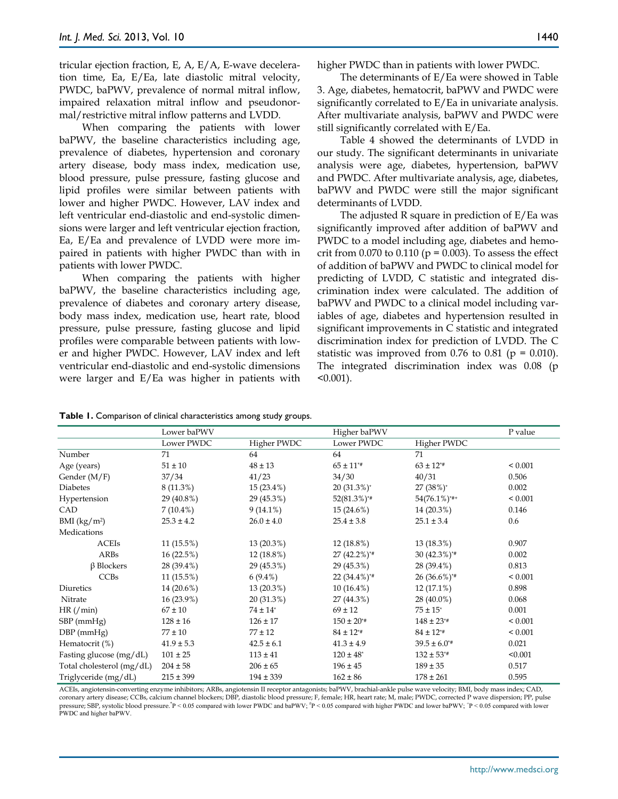tricular ejection fraction, E, A, E/A, E-wave deceleration time, Ea, E/Ea, late diastolic mitral velocity, PWDC, baPWV, prevalence of normal mitral inflow, impaired relaxation mitral inflow and pseudonormal/restrictive mitral inflow patterns and LVDD.

When comparing the patients with lower baPWV, the baseline characteristics including age, prevalence of diabetes, hypertension and coronary artery disease, body mass index, medication use, blood pressure, pulse pressure, fasting glucose and lipid profiles were similar between patients with lower and higher PWDC. However, LAV index and left ventricular end-diastolic and end-systolic dimensions were larger and left ventricular ejection fraction, Ea, E/Ea and prevalence of LVDD were more impaired in patients with higher PWDC than with in patients with lower PWDC.

When comparing the patients with higher baPWV, the baseline characteristics including age, prevalence of diabetes and coronary artery disease, body mass index, medication use, heart rate, blood pressure, pulse pressure, fasting glucose and lipid profiles were comparable between patients with lower and higher PWDC. However, LAV index and left ventricular end-diastolic and end-systolic dimensions were larger and E/Ea was higher in patients with

The determinants of E/Ea were showed in Table 3. Age, diabetes, hematocrit, baPWV and PWDC were significantly correlated to E/Ea in univariate analysis. After multivariate analysis, baPWV and PWDC were still significantly correlated with E/Ea.

Table 4 showed the determinants of LVDD in our study. The significant determinants in univariate analysis were age, diabetes, hypertension, baPWV and PWDC. After multivariate analysis, age, diabetes, baPWV and PWDC were still the major significant determinants of LVDD.

The adjusted R square in prediction of E/Ea was significantly improved after addition of baPWV and PWDC to a model including age, diabetes and hemocrit from  $0.070$  to  $0.110$  ( $p = 0.003$ ). To assess the effect of addition of baPWV and PWDC to clinical model for predicting of LVDD, C statistic and integrated discrimination index were calculated. The addition of baPWV and PWDC to a clinical model including variables of age, diabetes and hypertension resulted in significant improvements in C statistic and integrated discrimination index for prediction of LVDD. The C statistic was improved from 0.76 to 0.81 ( $p = 0.010$ ). The integrated discrimination index was 0.08 (p  $< 0.001$ ).

|                           | Lower baPWV    |                          | Higher baPWV               | P value                    |              |
|---------------------------|----------------|--------------------------|----------------------------|----------------------------|--------------|
|                           | Lower PWDC     | Higher PWDC              | Lower PWDC                 | Higher PWDC                |              |
| Number                    | 71             | 64                       | 64                         | 71                         |              |
| Age (years)               | $51 \pm 10$    | $48 \pm 13$              | $65 \pm 11^{**}$           | $63 \pm 12^{*}$            | ${}_{0.001}$ |
| Gender (M/F)              | 37/34          | 41/23                    | 34/30                      | 40/31                      | 0.506        |
| <b>Diabetes</b>           | 8 (11.3%)      | 15 (23.4%)               | $20(31.3\%)^*$             | $27(38%)^*$                | 0.002        |
| Hypertension              | 29 (40.8%)     | 29 (45.3%)               | $52(81.3\%)$ *#            | $54(76.1\%)$ *#+           | < 0.001      |
| CAD                       | $7(10.4\%)$    | $9(14.1\%)$              | $15(24.6\%)$               | 14 (20.3%)                 | 0.146        |
| BMI (kg/m <sup>2</sup> )  | $25.3 \pm 4.2$ | $26.0 \pm 4.0$           | $25.4 \pm 3.8$             | $25.1 \pm 3.4$             | 0.6          |
| Medications               |                |                          |                            |                            |              |
| <b>ACEIs</b>              | 11(15.5%)      | 13(20.3%)                | $12(18.8\%)$               | 13 (18.3%)                 | 0.907        |
| ARBs                      | 16(22.5%)      | 12 (18.8%)               | 27 (42.2%)*#               | $30(42.3\%)^{*}$           | 0.002        |
| $\beta$ Blockers          | 28 (39.4%)     | 29 (45.3%)               | 29 (45.3%)                 | 28 (39.4%)                 | 0.813        |
| <b>CCBs</b>               | 11(15.5%)      | $6(9.4\%)$               | $22(34.4\%)$ <sup>*#</sup> | $26(36.6\%)$ <sup>*#</sup> | < 0.001      |
| Diuretics                 | 14 (20.6%)     | 13(20.3%)                | $10(16.4\%)$               | $12(17.1\%)$               | 0.898        |
| Nitrate                   | 16 (23.9%)     | 20 (31.3%)               | 27 (44.3%)                 | 28 (40.0%)                 | 0.068        |
| HR/(min)                  | $67 \pm 10$    | $74 \pm 14$ <sup>*</sup> | $69 \pm 12$                | $75 \pm 15$ <sup>*</sup>   | 0.001        |
| SBP (mmHg)                | $128 \pm 16$   | $126 \pm 17$             | $150 \pm 20^{*}$           | $148 \pm 23^{*}$           | ${}_{0.001}$ |
| $DBP$ (mmHg)              | $77 \pm 10$    | $77 \pm 12$              | $84 \pm 12^{*}$            | $84 \pm 12^{*}$            | < 0.001      |
| Hematocrit (%)            | $41.9 \pm 5.3$ | $42.5 \pm 6.1$           | $41.3 \pm 4.9$             | $39.5 \pm 6.0^{*}$         | 0.021        |
| Fasting glucose (mg/dL)   | $101 \pm 25$   | $113 \pm 41$             | $120 \pm 48$ <sup>*</sup>  | $132 \pm 53^{**}$          | < 0.001      |
| Total cholesterol (mg/dL) | $204 \pm 58$   | $206 \pm 65$             | $196 \pm 45$               | $189 \pm 35$               | 0.517        |
| Triglyceride (mg/dL)      | $215 \pm 399$  | $194 \pm 339$            | $162 \pm 86$               | $178 \pm 261$              | 0.595        |

ACEIs, angiotensin-converting enzyme inhibitors; ARBs, angiotensin II receptor antagonists; baPWV, brachial-ankle pulse wave velocity; BMI, body mass index; CAD, coronary artery disease; CCBs, calcium channel blockers; DBP, diastolic blood pressure; F, female; HR, heart rate; M, male; PWDC, corrected P wave dispersion; PP, pulse pressure; SBP, systolic blood pressure.\*P < 0.05 compared with lower PWDC and baPWV;  ${}^{\dagger}P$  < 0.05 compared with lower PWDC and baPWV;  ${}^{\dagger}P$  < 0.05 compared with lower PWDC and higher baPWV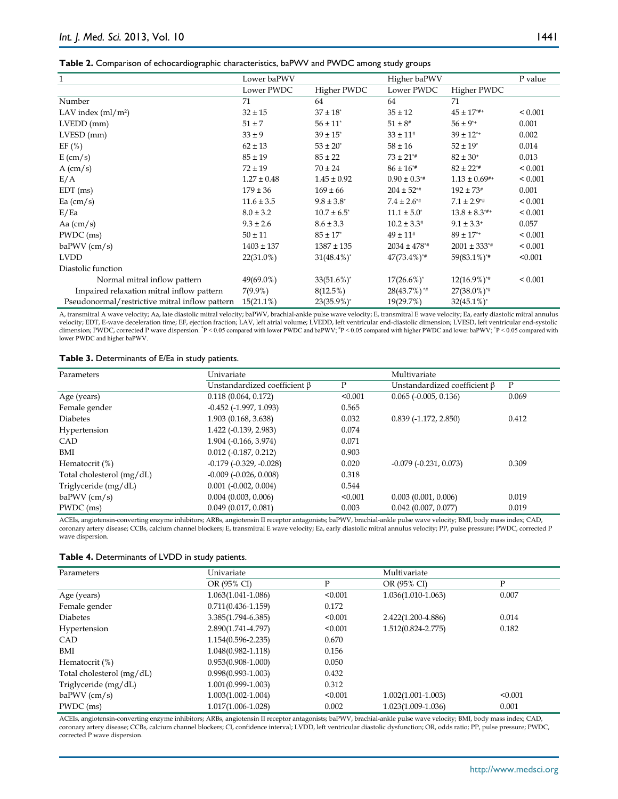|  |  | Table 2. Comparison of echocardiographic characteristics, baPWV and PWDC among study groups |
|--|--|---------------------------------------------------------------------------------------------|
|--|--|---------------------------------------------------------------------------------------------|

| 1                                              | Lower baPWV     |                          | Higher baPWV                 |                               | P value      |
|------------------------------------------------|-----------------|--------------------------|------------------------------|-------------------------------|--------------|
|                                                | Lower PWDC      | Higher PWDC              | Lower PWDC                   | Higher PWDC                   |              |
| Number                                         | 71              | 64                       | 64                           | 71                            |              |
| LAV index $\text{m1/m}^2$                      | $32 \pm 15$     | $37 \pm 18$ <sup>*</sup> | $35\pm12$                    | $45 \pm 17$ <sup>*#+</sup>    | ${}_{0.001}$ |
| $LVEDD$ (mm)                                   | $51 \pm 7$      | $56 \pm 11$ <sup>*</sup> | $51 \pm 8^*$                 | $56 \pm 9^{*+}$               | 0.001        |
| LVESD (mm)                                     | $33 \pm 9$      | $39 \pm 15$ <sup>*</sup> | $33 \pm 11$ #                | $39 \pm 12^{*+}$              | 0.002        |
| EF(%)                                          | $62 \pm 13$     | $53 \pm 20^{\circ}$      | $58 \pm 16$                  | $52 \pm 19$ <sup>*</sup>      | 0.014        |
| $E \, \text{(cm/s)}$                           | $85 \pm 19$     | $85 \pm 22$              | $73 \pm 21^{**}$             | $82 \pm 30^{+}$               | 0.013        |
| $A$ (cm/s)                                     | $72 \pm 19$     | $70 \pm 24$              | $86 \pm 16^{*}$              | $82 \pm 22^{*}$               | ${}_{0.001}$ |
| E/A                                            | $1.27 \pm 0.48$ | $1.45 \pm 0.92$          | $0.90 \pm 0.3$ <sup>*#</sup> | $1.13 \pm 0.69^{+4}$          | ${}_{0.001}$ |
| $EDT$ (ms)                                     | $179 \pm 36$    | $169 \pm 66$             | $204 \pm 52^{*}$             | $192 \pm 73*$                 | 0.001        |
| Ea $\text{(cm/s)}$                             | $11.6 \pm 3.5$  | $9.8 \pm 3.8^*$          | $7.4 \pm 2.6^{*}$            | $7.1 \pm 2.9^{*}$             | ${}_{0.001}$ |
| E/Ea                                           | $8.0 \pm 3.2$   | $10.7 \pm 6.5^*$         | $11.1 \pm 5.0^*$             | $13.8 \pm 8.3$ <sup>*#+</sup> | ${}< 0.001$  |
| Aa $\text{(cm/s)}$                             | $9.3 \pm 2.6$   | $8.6 \pm 3.3$            | $10.2 \pm 3.3^*$             | $9.1 \pm 3.3$ <sup>+</sup>    | 0.057        |
| PWDC (ms)                                      | $50 \pm 11$     | $85 \pm 17$ <sup>*</sup> | $49 \pm 11$ #                | $89 \pm 17^{*+}$              | ${}_{0.001}$ |
| $baPWV$ (cm/s)                                 | $1403 \pm 137$  | $1387 \pm 135$           | $2034 \pm 478$ <sup>**</sup> | $2001 \pm 333^{*}$            | ${}< 0.001$  |
| <b>LVDD</b>                                    | 22(31.0%)       | $31(48.4\%)^*$           | $47(73.4\%)$ <sup>*#</sup>   | 59(83.1%)*#                   | < 0.001      |
| Diastolic function                             |                 |                          |                              |                               |              |
| Normal mitral inflow pattern                   | 49(69.0%)       | $33(51.6\%)^*$           | $17(26.6\%)^*$               | $12(16.9\%)^{*}$              | ${}< 0.001$  |
| Impaired relaxation mitral inflow pattern      | $7(9.9\%)$      | 8(12.5%)                 | $28(43.7%)$ <sup>*#</sup>    | $27(38.0\%)^{*}$              |              |
| Pseudonormal/restrictive mitral inflow pattern | $15(21.1\%)$    | $23(35.9\%)^*$           | 19(29.7%)                    | $32(45.1\%)^*$                |              |

A, transmitral A wave velocity; Aa, late diastolic mitral velocity; baPWV, brachial-ankle pulse wave velocity; E, transmitral E wave velocity; Ea, early diastolic mitral annulus velocity; EDT, E-wave deceleration time; EF, ejection fraction; LAV, left atrial volume; LVEDD, left ventricular end-diastolic dimension; LVESD, left ventricular end-systolic dimension; PWDC, corrected P wave dispersion. \*P < 0.05 compared with lower PWDC and baPWV; \*P < 0.05 compared with higher PWDC and lower baPWV; \*P < 0.05 compared with lower PWDC and higher baPWV.

|  | Table 3. Determinants of E/Ea in study patients. |  |  |  |  |  |
|--|--------------------------------------------------|--|--|--|--|--|
|--|--------------------------------------------------|--|--|--|--|--|

| Parameters                | Univariate                         |         | Multivariate                       |       |  |
|---------------------------|------------------------------------|---------|------------------------------------|-------|--|
|                           | Unstandardized coefficient $\beta$ | P       | Unstandardized coefficient $\beta$ | P     |  |
| Age (years)               | 0.118(0.064, 0.172)                | < 0.001 | $0.065$ ( $-0.005$ , $0.136$ )     | 0.069 |  |
| Female gender             | $-0.452$ $(-1.997, 1.093)$         | 0.565   |                                    |       |  |
| <b>Diabetes</b>           | 1.903 (0.168, 3.638)               | 0.032   | $0.839(-1.172, 2.850)$             | 0.412 |  |
| Hypertension              | 1.422 (-0.139, 2.983)              | 0.074   |                                    |       |  |
| CAD                       | 1.904 (-0.166, 3.974)              | 0.071   |                                    |       |  |
| BMI                       | $0.012$ (-0.187, 0.212)            | 0.903   |                                    |       |  |
| Hematocrit $(\%)$         | $-0.179$ $(-0.329, -0.028)$        | 0.020   | $-0.079$ $(-0.231, 0.073)$         | 0.309 |  |
| Total cholesterol (mg/dL) | $-0.009$ $(-0.026, 0.008)$         | 0.318   |                                    |       |  |
| Triglyceride (mg/dL)      | $0.001$ ( $-0.002$ , $0.004$ )     | 0.544   |                                    |       |  |
| $baPWV$ (cm/s)            | $0.004$ (0.003, 0.006)             | < 0.001 | 0.003(0.001, 0.006)                | 0.019 |  |
| PWDC (ms)                 | 0.049(0.017, 0.081)                | 0.003   | $0.042$ (0.007, 0.077)             | 0.019 |  |

ACEIs, angiotensin-converting enzyme inhibitors; ARBs, angiotensin II receptor antagonists; baPWV, brachial-ankle pulse wave velocity; BMI, body mass index; CAD, coronary artery disease; CCBs, calcium channel blockers; E, transmitral E wave velocity; Ea, early diastolic mitral annulus velocity; PP, pulse pressure; PWDC, corrected P wave dispersion.

| Table 4. Determinants of LVDD in study patients. |  |  |  |  |  |
|--------------------------------------------------|--|--|--|--|--|
|--------------------------------------------------|--|--|--|--|--|

| Parameters                | Univariate             |         | Multivariate           |         |  |  |
|---------------------------|------------------------|---------|------------------------|---------|--|--|
|                           |                        |         |                        |         |  |  |
|                           | OR (95% CI)            | Ρ       | OR (95% CI)            | P       |  |  |
| Age (years)               | $1.063(1.041 - 1.086)$ | < 0.001 | $1.036(1.010-1.063)$   | 0.007   |  |  |
| Female gender             | $0.711(0.436 - 1.159)$ | 0.172   |                        |         |  |  |
| <b>Diabetes</b>           | 3.385(1.794-6.385)     | < 0.001 | 2.422(1.200-4.886)     | 0.014   |  |  |
| Hypertension              | 2.890(1.741-4.797)     | < 0.001 | $1.512(0.824 - 2.775)$ | 0.182   |  |  |
| <b>CAD</b>                | $1.154(0.596 - 2.235)$ | 0.670   |                        |         |  |  |
| BMI                       | 1.048(0.982-1.118)     | 0.156   |                        |         |  |  |
| Hematocrit $(\%)$         | $0.953(0.908 - 1.000)$ | 0.050   |                        |         |  |  |
| Total cholesterol (mg/dL) | $0.998(0.993 - 1.003)$ | 0.432   |                        |         |  |  |
| Triglyceride (mg/dL)      | 1.001(0.999-1.003)     | 0.312   |                        |         |  |  |
| $baPWV$ (cm/s)            | $1.003(1.002 - 1.004)$ | < 0.001 | $1.002(1.001 - 1.003)$ | < 0.001 |  |  |
| PWDC (ms)                 | 1.017(1.006-1.028)     | 0.002   | 1.023(1.009-1.036)     | 0.001   |  |  |

ACEIs, angiotensin-converting enzyme inhibitors; ARBs, angiotensin II receptor antagonists; baPWV, brachial-ankle pulse wave velocity; BMI, body mass index; CAD, coronary artery disease; CCBs, calcium channel blockers; CI, confidence interval; LVDD, left ventricular diastolic dysfunction; OR, odds ratio; PP, pulse pressure; PWDC, corrected P wave dispersion.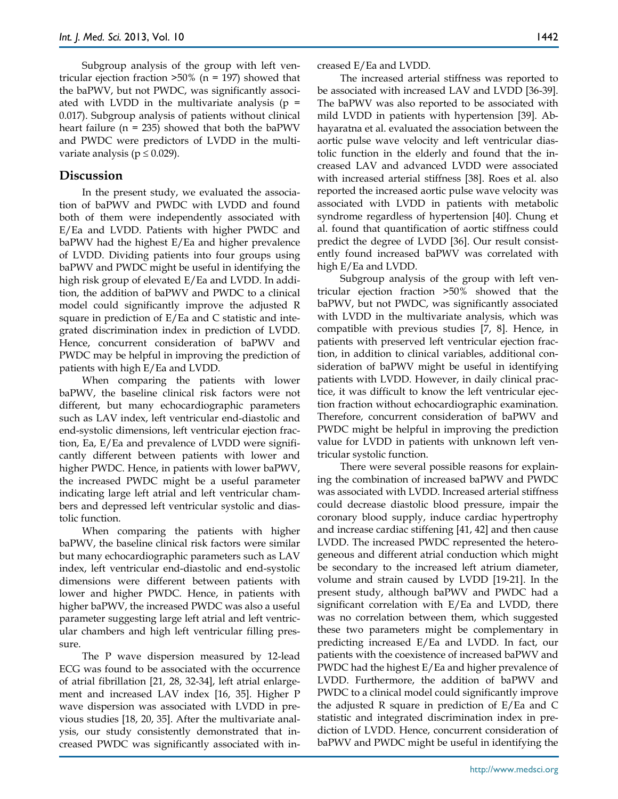Subgroup analysis of the group with left ventricular ejection fraction  $>50\%$  (n = 197) showed that the baPWV, but not PWDC, was significantly associated with LVDD in the multivariate analysis ( $p =$ 0.017). Subgroup analysis of patients without clinical heart failure ( $n = 235$ ) showed that both the baPWV and PWDC were predictors of LVDD in the multivariate analysis ( $p \leq 0.029$ ).

# **Discussion**

In the present study, we evaluated the association of baPWV and PWDC with LVDD and found both of them were independently associated with E/Ea and LVDD. Patients with higher PWDC and baPWV had the highest E/Ea and higher prevalence of LVDD. Dividing patients into four groups using baPWV and PWDC might be useful in identifying the high risk group of elevated E/Ea and LVDD. In addition, the addition of baPWV and PWDC to a clinical model could significantly improve the adjusted R square in prediction of E/Ea and C statistic and integrated discrimination index in prediction of LVDD. Hence, concurrent consideration of baPWV and PWDC may be helpful in improving the prediction of patients with high E/Ea and LVDD.

When comparing the patients with lower baPWV, the baseline clinical risk factors were not different, but many echocardiographic parameters such as LAV index, left ventricular end-diastolic and end-systolic dimensions, left ventricular ejection fraction, Ea, E/Ea and prevalence of LVDD were significantly different between patients with lower and higher PWDC. Hence, in patients with lower baPWV, the increased PWDC might be a useful parameter indicating large left atrial and left ventricular chambers and depressed left ventricular systolic and diastolic function.

When comparing the patients with higher baPWV, the baseline clinical risk factors were similar but many echocardiographic parameters such as LAV index, left ventricular end-diastolic and end-systolic dimensions were different between patients with lower and higher PWDC. Hence, in patients with higher baPWV, the increased PWDC was also a useful parameter suggesting large left atrial and left ventricular chambers and high left ventricular filling pressure.

The P wave dispersion measured by 12-lead ECG was found to be associated with the occurrence of atrial fibrillation [21, 28, 32-34], left atrial enlargement and increased LAV index [16, 35]. Higher P wave dispersion was associated with LVDD in previous studies [18, 20, 35]. After the multivariate analysis, our study consistently demonstrated that increased PWDC was significantly associated with increased E/Ea and LVDD.

The increased arterial stiffness was reported to be associated with increased LAV and LVDD [36-39]. The baPWV was also reported to be associated with mild LVDD in patients with hypertension [39]. Abhayaratna et al. evaluated the association between the aortic pulse wave velocity and left ventricular diastolic function in the elderly and found that the increased LAV and advanced LVDD were associated with increased arterial stiffness [38]. Roes et al. also reported the increased aortic pulse wave velocity was associated with LVDD in patients with metabolic syndrome regardless of hypertension [40]. Chung et al. found that quantification of aortic stiffness could predict the degree of LVDD [36]. Our result consistently found increased baPWV was correlated with high E/Ea and LVDD.

Subgroup analysis of the group with left ventricular ejection fraction >50% showed that the baPWV, but not PWDC, was significantly associated with LVDD in the multivariate analysis, which was compatible with previous studies [7, 8]. Hence, in patients with preserved left ventricular ejection fraction, in addition to clinical variables, additional consideration of baPWV might be useful in identifying patients with LVDD. However, in daily clinical practice, it was difficult to know the left ventricular ejection fraction without echocardiographic examination. Therefore, concurrent consideration of baPWV and PWDC might be helpful in improving the prediction value for LVDD in patients with unknown left ventricular systolic function.

There were several possible reasons for explaining the combination of increased baPWV and PWDC was associated with LVDD. Increased arterial stiffness could decrease diastolic blood pressure, impair the coronary blood supply, induce cardiac hypertrophy and increase cardiac stiffening [41, 42] and then cause LVDD. The increased PWDC represented the heterogeneous and different atrial conduction which might be secondary to the increased left atrium diameter, volume and strain caused by LVDD [19-21]. In the present study, although baPWV and PWDC had a significant correlation with E/Ea and LVDD, there was no correlation between them, which suggested these two parameters might be complementary in predicting increased E/Ea and LVDD. In fact, our patients with the coexistence of increased baPWV and PWDC had the highest E/Ea and higher prevalence of LVDD. Furthermore, the addition of baPWV and PWDC to a clinical model could significantly improve the adjusted R square in prediction of E/Ea and C statistic and integrated discrimination index in prediction of LVDD. Hence, concurrent consideration of baPWV and PWDC might be useful in identifying the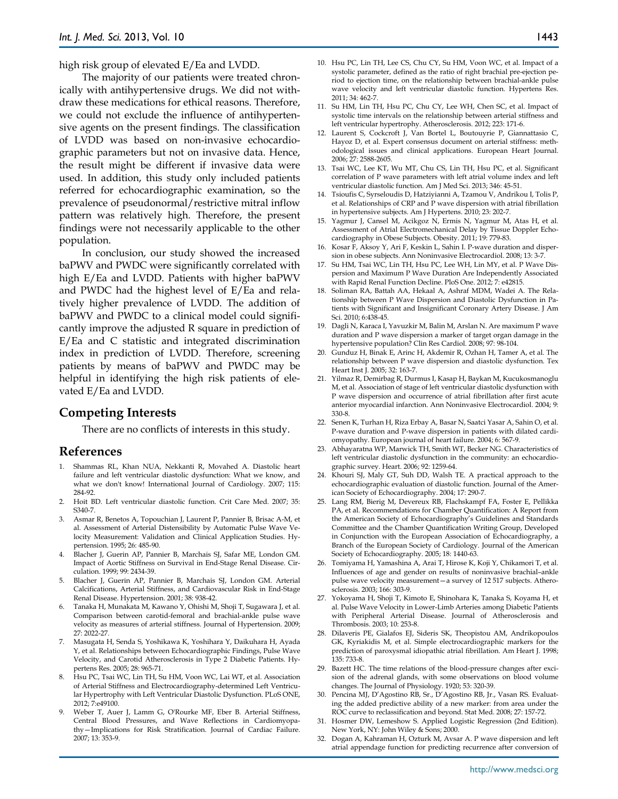high risk group of elevated E/Ea and LVDD.

The majority of our patients were treated chronically with antihypertensive drugs. We did not withdraw these medications for ethical reasons. Therefore, we could not exclude the influence of antihypertensive agents on the present findings. The classification of LVDD was based on non-invasive echocardiographic parameters but not on invasive data. Hence, the result might be different if invasive data were used. In addition, this study only included patients referred for echocardiographic examination, so the prevalence of pseudonormal/restrictive mitral inflow pattern was relatively high. Therefore, the present findings were not necessarily applicable to the other population.

In conclusion, our study showed the increased baPWV and PWDC were significantly correlated with high E/Ea and LVDD. Patients with higher baPWV and PWDC had the highest level of E/Ea and relatively higher prevalence of LVDD. The addition of baPWV and PWDC to a clinical model could significantly improve the adjusted R square in prediction of E/Ea and C statistic and integrated discrimination index in prediction of LVDD. Therefore, screening patients by means of baPWV and PWDC may be helpful in identifying the high risk patients of elevated E/Ea and LVDD.

## **Competing Interests**

There are no conflicts of interests in this study.

#### **References**

- 1. Shammas RL, Khan NUA, Nekkanti R, Movahed A. Diastolic heart failure and left ventricular diastolic dysfunction: What we know, and what we don't know! International Journal of Cardiology. 2007; 115: 284-92.
- 2. Hoit BD. Left ventricular diastolic function. Crit Care Med. 2007; 35: S340-7.
- 3. Asmar R, Benetos A, Topouchian J, Laurent P, Pannier B, Brisac A-M, et al. Assessment of Arterial Distensibility by Automatic Pulse Wave Velocity Measurement: Validation and Clinical Application Studies. Hypertension. 1995; 26: 485-90.
- 4. Blacher J, Guerin AP, Pannier B, Marchais SJ, Safar ME, London GM. Impact of Aortic Stiffness on Survival in End-Stage Renal Disease. Circulation. 1999; 99: 2434-39.
- 5. Blacher J, Guerin AP, Pannier B, Marchais SJ, London GM. Arterial Calcifications, Arterial Stiffness, and Cardiovascular Risk in End-Stage Renal Disease. Hypertension. 2001; 38: 938-42.
- 6. Tanaka H, Munakata M, Kawano Y, Ohishi M, Shoji T, Sugawara J, et al. Comparison between carotid-femoral and brachial-ankle pulse wave velocity as measures of arterial stiffness. Journal of Hypertension. 2009; 27: 2022-27.
- 7. Masugata H, Senda S, Yoshikawa K, Yoshihara Y, Daikuhara H, Ayada Y, et al. Relationships between Echocardiographic Findings, Pulse Wave Velocity, and Carotid Atherosclerosis in Type 2 Diabetic Patients. Hypertens Res. 2005; 28: 965-71.
- 8. Hsu PC, Tsai WC, Lin TH, Su HM, Voon WC, Lai WT, et al. Association of Arterial Stiffness and Electrocardiography-determined Left Ventricular Hypertrophy with Left Ventricular Diastolic Dysfunction. PLoS ONE, 2012; 7:e49100.
- 9. Weber T, Auer J, Lamm G, O'Rourke MF, Eber B. Arterial Stiffness, Central Blood Pressures, and Wave Reflections in Cardiomyopathy—Implications for Risk Stratification. Journal of Cardiac Failure. 2007; 13: 353-9.
- 10. Hsu PC, Lin TH, Lee CS, Chu CY, Su HM, Voon WC, et al. Impact of a systolic parameter, defined as the ratio of right brachial pre-ejection period to ejection time, on the relationship between brachial-ankle pulse wave velocity and left ventricular diastolic function. Hypertens Res. 2011; 34: 462-7.
- 11. Su HM, Lin TH, Hsu PC, Chu CY, Lee WH, Chen SC, et al. Impact of systolic time intervals on the relationship between arterial stiffness and left ventricular hypertrophy. Atherosclerosis. 2012; 223: 171-6.
- 12. Laurent S, Cockcroft J, Van Bortel L, Boutouyrie P, Giannattasio C, Hayoz D, et al. Expert consensus document on arterial stiffness: methodological issues and clinical applications. European Heart Journal. 2006; 27: 2588-2605.
- 13. Tsai WC, Lee KT, Wu MT, Chu CS, Lin TH, Hsu PC, et al. Significant correlation of P wave parameters with left atrial volume index and left ventricular diastolic function. Am J Med Sci. 2013; 346: 45-51.
- 14. Tsioufis C, Syrseloudis D, Hatziyianni A, Tzamou V, Andrikou I, Tolis P, et al. Relationships of CRP and P wave dispersion with atrial fibrillation in hypertensive subjects. Am J Hypertens. 2010; 23: 202-7.
- 15. Yagmur J, Cansel M, Acikgoz N, Ermis N, Yagmur M, Atas H, et al. Assessment of Atrial Electromechanical Delay by Tissue Doppler Echocardiography in Obese Subjects. Obesity. 2011; 19: 779-83.
- 16. Kosar F, Aksoy Y, Ari F, Keskin L, Sahin I. P-wave duration and dispersion in obese subjects. Ann Noninvasive Electrocardiol. 2008; 13: 3-7.
- 17. Su HM, Tsai WC, Lin TH, Hsu PC, Lee WH, Lin MY, et al. P Wave Dispersion and Maximum P Wave Duration Are Independently Associated with Rapid Renal Function Decline. PloS One. 2012; 7: e42815.
- 18. Soliman RA, Battah AA, Hekaal A, Ashraf MDM, Wadei A. The Relationship between P Wave Dispersion and Diastolic Dysfunction in Patients with Significant and Insignificant Coronary Artery Disease. J Am Sci. 2010; 6:438-45.
- 19. Dagli N, Karaca I, Yavuzkir M, Balin M, Arslan N. Are maximum P wave duration and P wave dispersion a marker of target organ damage in the hypertensive population? Clin Res Cardiol. 2008; 97: 98-104.
- 20. Gunduz H, Binak E, Arinc H, Akdemir R, Ozhan H, Tamer A, et al. The relationship between P wave dispersion and diastolic dysfunction. Tex Heart Inst J. 2005; 32: 163-7.
- 21. Yilmaz R, Demirbag R, Durmus I, Kasap H, Baykan M, Kucukosmanoglu M, et al. Association of stage of left ventricular diastolic dysfunction with P wave dispersion and occurrence of atrial fibrillation after first acute anterior myocardial infarction. Ann Noninvasive Electrocardiol. 2004; 9: 330-8.
- 22. Senen K, Turhan H, Riza Erbay A, Basar N, Saatci Yasar A, Sahin O, et al. P-wave duration and P-wave dispersion in patients with dilated cardiomyopathy. European journal of heart failure. 2004; 6: 567-9.
- 23. Abhayaratna WP, Marwick TH, Smith WT, Becker NG. Characteristics of left ventricular diastolic dysfunction in the community: an echocardiographic survey. Heart. 2006; 92: 1259-64.
- 24. Khouri SJ, Maly GT, Suh DD, Walsh TE. A practical approach to the echocardiographic evaluation of diastolic function. Journal of the American Society of Echocardiography. 2004; 17: 290-7.
- 25. Lang RM, Bierig M, Devereux RB, Flachskampf FA, Foster E, Pellikka PA, et al. Recommendations for Chamber Quantification: A Report from the American Society of Echocardiography's Guidelines and Standards Committee and the Chamber Quantification Writing Group, Developed in Conjunction with the European Association of Echocardiography, a Branch of the European Society of Cardiology. Journal of the American Society of Echocardiography. 2005; 18: 1440-63.
- 26. Tomiyama H, Yamashina A, Arai T, Hirose K, Koji Y, Chikamori T, et al. Influences of age and gender on results of noninvasive brachial–ankle pulse wave velocity measurement—a survey of 12 517 subjects. Atherosclerosis. 2003; 166: 303-9.
- 27. Yokoyama H, Shoji T, Kimoto E, Shinohara K, Tanaka S, Koyama H, et al. Pulse Wave Velocity in Lower-Limb Arteries among Diabetic Patients with Peripheral Arterial Disease. Journal of Atherosclerosis and Thrombosis. 2003; 10: 253-8.
- 28. Dilaveris PE, Gialafos EJ, Sideris SK, Theopistou AM, Andrikopoulos GK, Kyriakidis M, et al. Simple electrocardiographic markers for the prediction of paroxysmal idiopathic atrial fibrillation. Am Heart J. 1998; 135: 733-8.
- 29. Bazett HC. The time relations of the blood-pressure changes after excision of the adrenal glands, with some observations on blood volume changes. The Journal of Physiology. 1920; 53: 320-39.
- 30. Pencina MJ, D'Agostino RB, Sr., D'Agostino RB, Jr., Vasan RS. Evaluating the added predictive ability of a new marker: from area under the ROC curve to reclassification and beyond. Stat Med. 2008; 27: 157-72.
- 31. Hosmer DW, Lemeshow S. Applied Logistic Regression (2nd Edition). New York, NY: John Wiley & Sons; 2000.
- 32. Dogan A, Kahraman H, Ozturk M, Avsar A. P wave dispersion and left atrial appendage function for predicting recurrence after conversion of